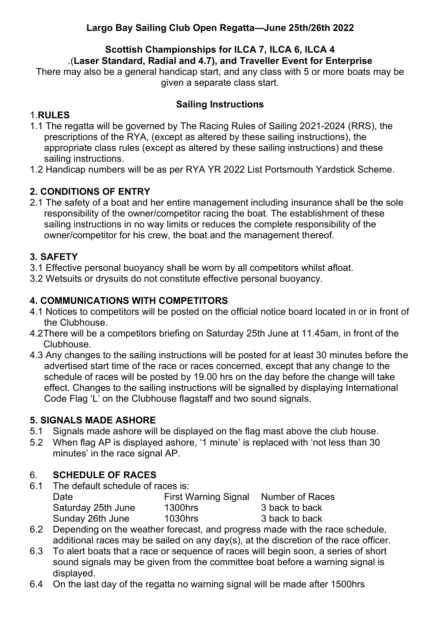# **Largo Bay Sailing Club Open Regatta—June 25th/26th 2022**

# **Scottish Championships for ILCA 7, ILCA 6, ILCA 4**

.(**Laser Standard, Radial and 4.7), and Traveller Event for Enterprise**

There may also be a general handicap start, and any class with 5 or more boats may be given a separate class start.

## **Sailing Instructions**

# 1.**RULES**

- 1.1 The regatta will be governed by The Racing Rules of Sailing 2021-2024 (RRS), the prescriptions of the RYA, (except as altered by these sailing instructions), the appropriate class rules (except as altered by these sailing instructions) and these sailing instructions.
- 1.2 Handicap numbers will be as per RYA YR 2022 List Portsmouth Yardstick Scheme.

# **2. CONDITIONS OF ENTRY**

2.1 The safety of a boat and her entire management including insurance shall be the sole responsibility of the owner/competitor racing the boat. The establishment of these sailing instructions in no way limits or reduces the complete responsibility of the owner/competitor for his crew, the boat and the management thereof.

# **3. SAFETY**

- 3.1 Effective personal buoyancy shall be worn by all competitors whilst afloat.
- 3.2 Wetsuits or drysuits do not constitute effective personal buoyancy.

## **4. COMMUNICATIONS WITH COMPETITORS**

- 4.1 Notices to competitors will be posted on the official notice board located in or in front of the Clubhouse.
- 4.2There will be a competitors briefing on Saturday 25th June at 11.45am, in front of the Clubhouse.
- 4.3 Any changes to the sailing instructions will be posted for at least 30 minutes before the advertised start time of the race or races concerned, except that any change to the schedule of races will be posted by 19.00 hrs on the day before the change will take effect. Changes to the sailing instructions will be signalled by displaying International Code Flag 'L' on the Clubhouse flagstaff and two sound signals.

## **5. SIGNALS MADE ASHORE**

- 5.1 Signals made ashore will be displayed on the flag mast above the club house.
- 5.2 When flag AP is displayed ashore, '1 minute' is replaced with 'not less than 30 minutes' in the race signal AP.

# 6. **SCHEDULE OF RACES**

6.1 The default schedule of races is:

| Date               | First Warning Signal | Number of Races |
|--------------------|----------------------|-----------------|
| Saturday 25th June | 1300hrs              | 3 back to back  |
| Sunday 26th June   | 1030hrs              | 3 back to back  |

- 6.2 Depending on the weather forecast, and progress made with the race schedule, additional races may be sailed on any day(s), at the discretion of the race officer.
- 6.3 To alert boats that a race or sequence of races will begin soon, a series of short sound signals may be given from the committee boat before a warning signal is displayed.
- 6.4 On the last day of the regatta no warning signal will be made after 1500hrs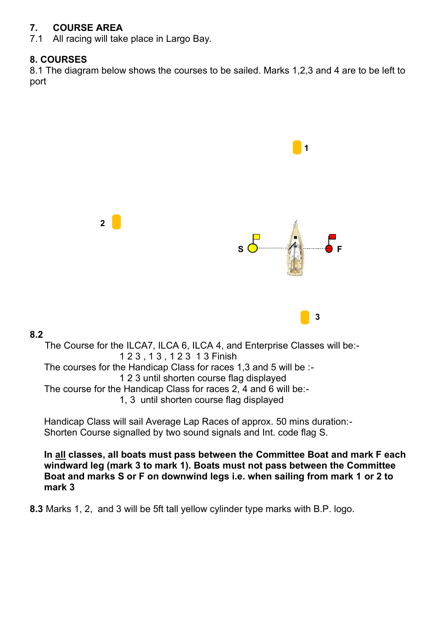# **7. COURSE AREA**<br>**7.1** All racing will take

All racing will take place in Largo Bay.

## **8. COURSES**

8.1 The diagram below shows the courses to be sailed. Marks 1,2,3 and 4 are to be left to port



#### **8.2**

The Course for the ILCA7, ILCA 6, ILCA 4, and Enterprise Classes will be:- 1 2 3 , 1 3 , 1 2 3 1 3 Finish The courses for the Handicap Class for races 1,3 and 5 will be :- 1 2 3 until shorten course flag displayed The course for the Handicap Class for races 2, 4 and 6 will be:- 1, 3 until shorten course flag displayed

Handicap Class will sail Average Lap Races of approx. 50 mins duration:- Shorten Course signalled by two sound signals and Int. code flag S.

**In all classes, all boats must pass between the Committee Boat and mark F each windward leg (mark 3 to mark 1). Boats must not pass between the Committee Boat and marks S or F on downwind legs i.e. when sailing from mark 1 or 2 to mark 3**

**8.3** Marks 1, 2, and 3 will be 5ft tall yellow cylinder type marks with B.P. logo.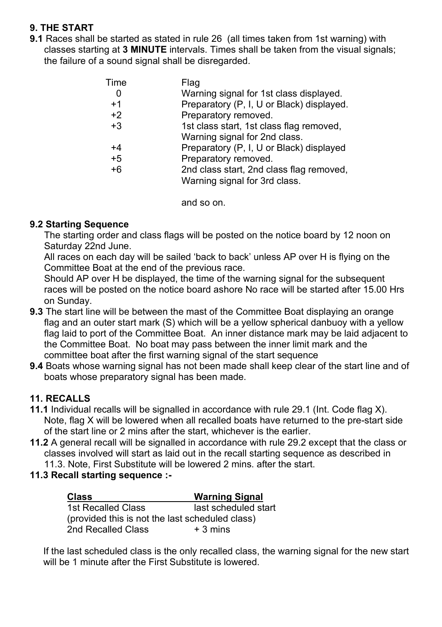# **9. THE START**

**9.1** Races shall be started as stated in rule 26 (all times taken from 1st warning) with classes starting at **3 MINUTE** intervals. Times shall be taken from the visual signals; the failure of a sound signal shall be disregarded.

| Time | Flag                                      |
|------|-------------------------------------------|
|      | Warning signal for 1st class displayed.   |
| $+1$ | Preparatory (P, I, U or Black) displayed. |
| $+2$ | Preparatory removed.                      |
| $+3$ | 1st class start, 1st class flag removed,  |
|      | Warning signal for 2nd class.             |
| +4   | Preparatory (P, I, U or Black) displayed  |
| $+5$ | Preparatory removed.                      |
| $+6$ | 2nd class start, 2nd class flag removed,  |
|      | Warning signal for 3rd class.             |

and so on.

## **9.2 Starting Sequence**

The starting order and class flags will be posted on the notice board by 12 noon on Saturday 22nd June.

All races on each day will be sailed 'back to back' unless AP over H is flying on the Committee Boat at the end of the previous race.

Should AP over H be displayed, the time of the warning signal for the subsequent races will be posted on the notice board ashore No race will be started after 15.00 Hrs on Sunday.

- **9.3** The start line will be between the mast of the Committee Boat displaying an orange flag and an outer start mark (S) which will be a yellow spherical danbuoy with a yellow flag laid to port of the Committee Boat. An inner distance mark may be laid adjacent to the Committee Boat. No boat may pass between the inner limit mark and the committee boat after the first warning signal of the start sequence
- **9.4** Boats whose warning signal has not been made shall keep clear of the start line and of boats whose preparatory signal has been made.

# **11. RECALLS**

- **11.1** Individual recalls will be signalled in accordance with rule 29.1 (Int. Code flag X). Note, flag X will be lowered when all recalled boats have returned to the pre-start side of the start line or 2 mins after the start, whichever is the earlier.
- **11.2** A general recall will be signalled in accordance with rule 29.2 except that the class or classes involved will start as laid out in the recall starting sequence as described in 11.3. Note, First Substitute will be lowered 2 mins. after the start.
- **11.3 Recall starting sequence :-**

| <b>Class</b>                                    | <b>Warning Signal</b> |  |
|-------------------------------------------------|-----------------------|--|
| 1st Recalled Class                              | last scheduled start  |  |
| (provided this is not the last scheduled class) |                       |  |
| 2nd Recalled Class                              | $+3$ mins             |  |

If the last scheduled class is the only recalled class, the warning signal for the new start will be 1 minute after the First Substitute is lowered.